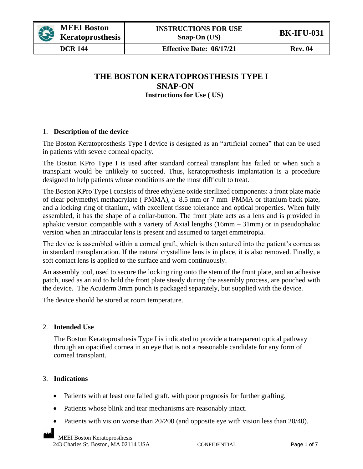

**DCR 144 Effective Date: 06/17/21 Rev. 04** 

## **THE BOSTON KERATOPROSTHESIS TYPE I SNAP-ON Instructions for Use ( US)**

### 1. **Description of the device**

The Boston Keratoprosthesis Type I device is designed as an "artificial cornea" that can be used in patients with severe corneal opacity.

The Boston KPro Type I is used after standard corneal transplant has failed or when such a transplant would be unlikely to succeed. Thus, keratoprosthesis implantation is a procedure designed to help patients whose conditions are the most difficult to treat.

The Boston KPro Type I consists of three ethylene oxide sterilized components: a front plate made of clear polymethyl methacrylate ( PMMA), a 8.5 mm or 7 mm PMMA or titanium back plate, and a locking ring of titanium, with excellent tissue tolerance and optical properties. When fully assembled, it has the shape of a collar-button. The front plate acts as a lens and is provided in aphakic version compatible with a variety of Axial lengths  $(16mm - 31mm)$  or in pseudophakic version when an intraocular lens is present and assumed to target emmetropia.

The device is assembled within a corneal graft, which is then sutured into the patient's cornea as in standard transplantation. If the natural crystalline lens is in place, it is also removed. Finally, a soft contact lens is applied to the surface and worn continuously.

An assembly tool, used to secure the locking ring onto the stem of the front plate, and an adhesive patch, used as an aid to hold the front plate steady during the assembly process, are pouched with the device. The Acuderm 3mm punch is packaged separately, but supplied with the device.

The device should be stored at room temperature.

### 2. **Intended Use**

The Boston Keratoprosthesis Type I is indicated to provide a transparent optical pathway through an opacified cornea in an eye that is not a reasonable candidate for any form of corneal transplant.

### 3. **Indications**

- Patients with at least one failed graft, with poor prognosis for further grafting.
- Patients whose blink and tear mechanisms are reasonably intact.
- Patients with vision worse than 20/200 (and opposite eye with vision less than 20/40).

MEEI Boston Keratoprosthesis 243 Charles St. Boston, MA 02114 USA CONFIDENTIAL Page 1 of 7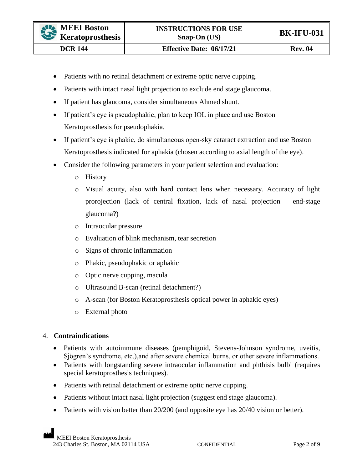- Patients with no retinal detachment or extreme optic nerve cupping.
- Patients with intact nasal light projection to exclude end stage glaucoma.
- If patient has glaucoma, consider simultaneous Ahmed shunt.
- If patient's eye is pseudophakic, plan to keep IOL in place and use Boston Keratoprosthesis for pseudophakia.
- If patient's eye is phakic, do simultaneous open-sky cataract extraction and use Boston Keratoprosthesis indicated for aphakia (chosen according to axial length of the eye).
- Consider the following parameters in your patient selection and evaluation:
	- o History
	- o Visual acuity, also with hard contact lens when necessary. Accuracy of light prorojection (lack of central fixation, lack of nasal projection – end-stage glaucoma?)
	- o Intraocular pressure
	- o Evaluation of blink mechanism, tear secretion
	- o Signs of chronic inflammation
	- o Phakic, pseudophakic or aphakic
	- o Optic nerve cupping, macula
	- o Ultrasound B-scan (retinal detachment?)
	- o A-scan (for Boston Keratoprosthesis optical power in aphakic eyes)
	- o External photo

### 4. **Contraindications**

- Patients with autoimmune diseases (pemphigoid, Stevens-Johnson syndrome, uveitis, Sjögren's syndrome, etc.),and after severe chemical burns, or other severe inflammations.
- Patients with longstanding severe intraocular inflammation and phthisis bulbi (requires special keratoprosthesis techniques).
- Patients with retinal detachment or extreme optic nerve cupping.
- Patients without intact nasal light projection (suggest end stage glaucoma).
- Patients with vision better than 20/200 (and opposite eye has 20/40 vision or better).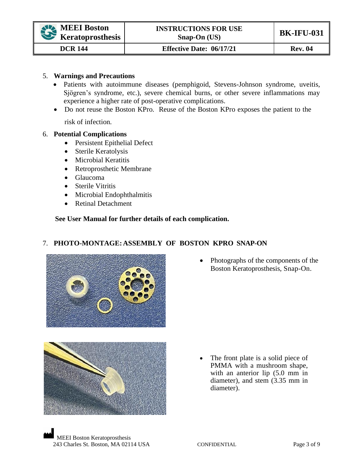### 5. **Warnings and Precautions**

- Patients with autoimmune diseases (pemphigoid, Stevens-Johnson syndrome, uveitis, Sjögren's syndrome, etc.), severe chemical burns, or other severe inflammations may experience a higher rate of post-operative complications.
- Do not reuse the Boston KPro. Reuse of the Boston KPro exposes the patient to the

risk of infection.

### 6. **Potential Complications**

- Persistent Epithelial Defect
- Sterile Keratolysis
- Microbial Keratitis
- Retroprosthetic Membrane
- Glaucoma
- Sterile Vitritis
- Microbial Endophthalmitis
- Retinal Detachment

### **See User Manual for further details of each complication.**

### 7. **PHOTO-MONTAGE:ASSEMBLY OF BOSTON KPRO SNAP-ON**







• The front plate is a solid piece of PMMA with a mushroom shape, with an anterior lip  $(5.0 \text{ mm} \cdot \text{in})$ diameter), and stem (3.35 mm in diameter).

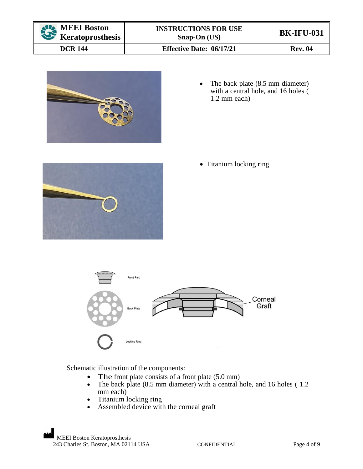| MEEI Boston<br>$\mathbf{v}$<br><b>Keratoprosthesis</b> | <b>INSTRUCTIONS FOR USE</b><br>$S$ nap-On (US) | <b>BK-IFU-031</b> |
|--------------------------------------------------------|------------------------------------------------|-------------------|
| <b>DCR 144</b>                                         | <b>Effective Date: 06/17/21</b>                | <b>Rev. 04</b>    |



• The back plate (8.5 mm diameter) with a central hole, and 16 holes ( 1.2 mm each)



• Titanium locking ring



Schematic illustration of the components:

- The front plate consists of a front plate (5.0 mm)
- The back plate (8.5 mm diameter) with a central hole, and 16 holes (1.2) mm each)
- Titanium locking ring
- Assembled device with the corneal graft

MEEI Boston Keratoprosthesis 243 Charles St. Boston, MA 02114 USA CONFIDENTIAL Page 4 of 9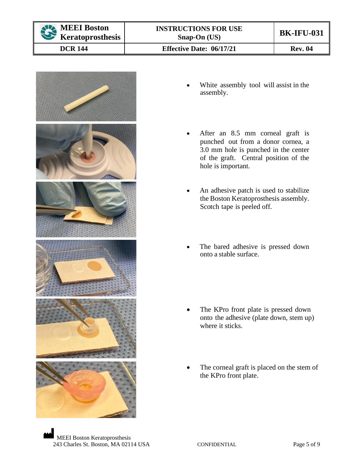

**DCR 144 Effective Date: 06/17/21 Rev. 04** 



- White assembly tool will assist in the assembly.
- After an 8.5 mm corneal graft is punched out from a donor cornea, a 3.0 mm hole is punched in the center of the graft. Central position of the hole is important.
- An adhesive patch is used to stabilize the Boston Keratoprosthesis assembly. Scotch tape is peeled off.
- The bared adhesive is pressed down onto a stable surface.
- The KPro front plate is pressed down onto the adhesive (plate down, stem up) where it sticks.
- The corneal graft is placed on the stem of the KPro front plate.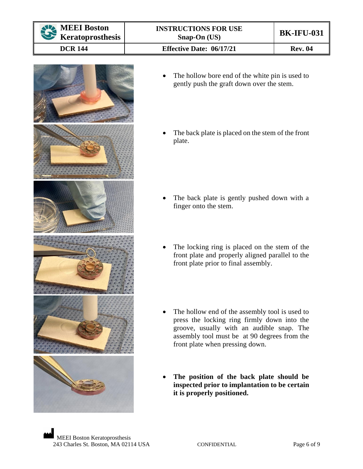

# **MEEI Boston Keratoprosthesis**

**DCR 144 Effective Date: 06/17/21 Rev. 04** 



- The hollow bore end of the white pin is used to gently push the graft down over the stem.
- The back plate is placed on the stem of the front plate.

- The back plate is gently pushed down with a finger onto the stem.
- The locking ring is placed on the stem of the front plate and properly aligned parallel to the front plate prior to final assembly.
- The hollow end of the assembly tool is used to press the locking ring firmly down into the groove, usually with an audible snap. The assembly tool must be at 90 degrees from the front plate when pressing down.
- **The position of the back plate should be inspected prior to implantation to be certain it is properly positioned.**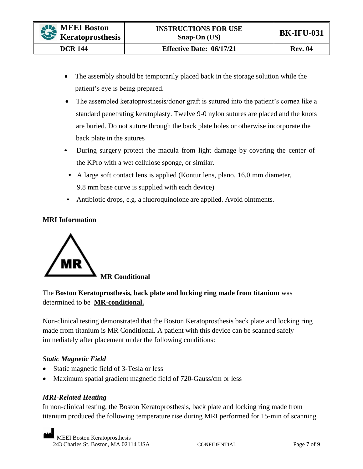- The assembly should be temporarily placed back in the storage solution while the patient's eye is being prepared.
- The assembled keratoprosthesis/donor graft is sutured into the patient's cornea like a standard penetrating keratoplasty. Twelve 9-0 nylon sutures are placed and the knots are buried. Do not suture through the back plate holes or otherwise incorporate the back plate in the sutures
- During surgery protect the macula from light damage by covering the center of the KPro with a wet cellulose sponge, or similar.
	- A large soft contact lens is applied (Kontur lens, plano, 16.0 mm diameter, 9.8 mm base curve is supplied with each device)
- Antibiotic drops, e.g. a fluoroquinolone are applied. Avoid ointments.

# **MRI Information**



# The **Boston Keratoprosthesis, back plate and locking ring made from titanium** was determined to be **MR-conditional.**

Non-clinical testing demonstrated that the Boston Keratoprosthesis back plate and locking ring made from titanium is MR Conditional. A patient with this device can be scanned safely immediately after placement under the following conditions:

## *Static Magnetic Field*

- Static magnetic field of 3-Tesla or less
- Maximum spatial gradient magnetic field of 720-Gauss/cm or less

## *MRI-Related Heating*

In non-clinical testing, the Boston Keratoprosthesis, back plate and locking ring made from titanium produced the following temperature rise during MRI performed for 15-min of scanning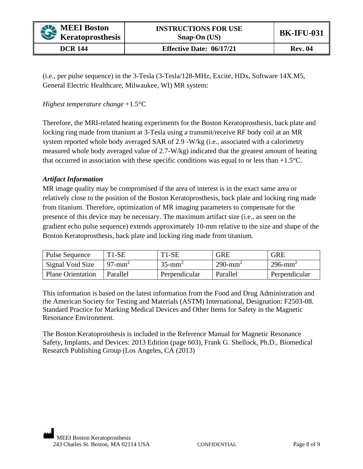(i.e., per pulse sequence) in the 3-Tesla (3-Tesla/128-MHz, Excite, HDx, Software 14X.M5, General Electric Healthcare, Milwaukee, WI) MR system:

## *Highest temperature change* +1.5°C

Therefore, the MRI-related heating experiments for the Boston Keratoprosthesis, back plate and locking ring made from titanium at 3-Tesla using a transmit/receive RF body coil at an MR system reported whole body averaged SAR of 2.9 -W/kg (i.e., associated with a calorimetry measured whole body averaged value of 2.7-W/kg) indicated that the greatest amount of heating that occurred in association with these specific conditions was equal to or less than  $+1.5^{\circ}$ C.

### *Artifact Information*

MR image quality may be compromised if the area of interest is in the exact same area or relatively close to the position of the Boston Keratoprosthesis, back plate and locking ring made from titanium. Therefore, optimization of MR imaging parameters to compensate for the presence of this device may be necessary. The maximum artifact size (i.e., as seen on the gradient echo pulse sequence) extends approximately 10-mm relative to the size and shape of the Boston Keratoprosthesis, back plate and locking ring made from titanium.

| <b>Pulse Sequence</b>    | $T1-SE$               | $T1-SE$               | <b>GRE</b>             | <b>GRE</b>             |
|--------------------------|-----------------------|-----------------------|------------------------|------------------------|
| Signal Void Size         | $97$ -mm <sup>2</sup> | $35$ -mm <sup>2</sup> | $290$ -mm <sup>2</sup> | $296$ -mm <sup>2</sup> |
| <b>Plane Orientation</b> | Parallel              | Perpendicular         | Parallel               | Perpendicular          |

This information is based on the latest information from the Food and Drug Administration and the American Society for Testing and Materials (ASTM) International, Designation: F2503-08. Standard Practice for Marking Medical Devices and Other Items for Safety in the Magnetic Resonance Environment.

The Boston Keratoprosthesis is included in the Reference Manual for Magnetic Resonance Safety, Implants, and Devices: 2013 Edition (page 603), Frank G. Shellock, Ph.D., Biomedical Research Publishing Group (Los Angeles, CA (2013)